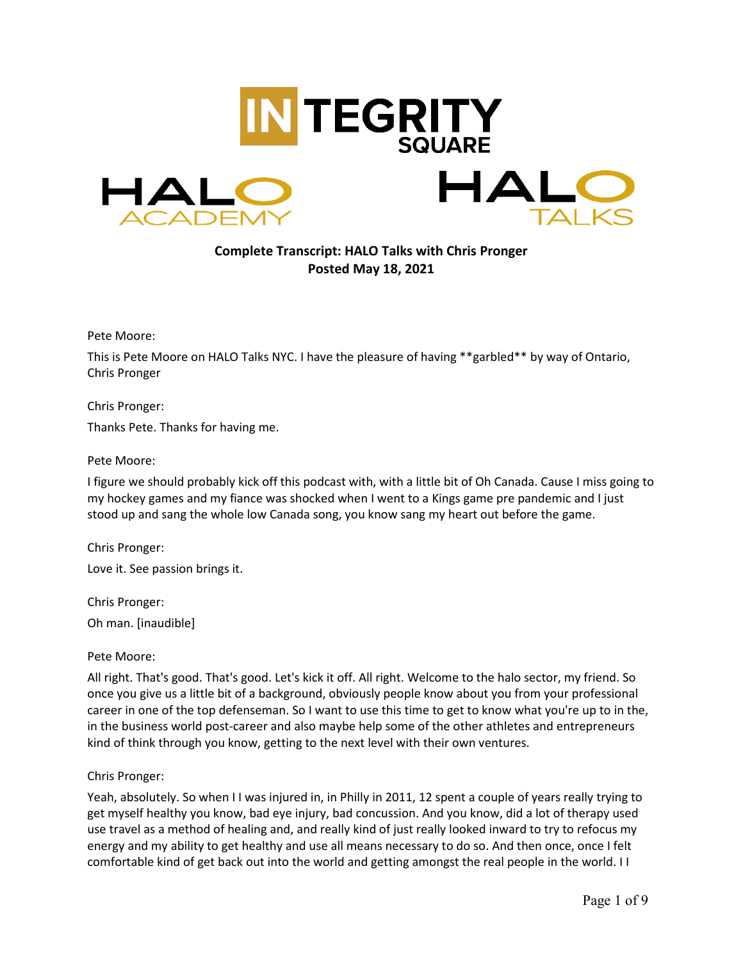

**Complete Transcript: HALO Talks with Chris Pronger Posted May 18, 2021**

Pete Moore:

This is Pete Moore on HALO Talks NYC. I have the pleasure of having \*\*garbled\*\* by way of Ontario, Chris Pronger

Chris Pronger:

Thanks Pete. Thanks for having me.

## Pete Moore:

I figure we should probably kick off this podcast with, with a little bit of Oh Canada. Cause I miss going to my hockey games and my fiance was shocked when I went to a Kings game pre pandemic and I just stood up and sang the whole low Canada song, you know sang my heart out before the game.

Chris Pronger:

Love it. See passion brings it.

Chris Pronger: Oh man. [inaudible]

Pete Moore:

All right. That's good. That's good. Let's kick it off. All right. Welcome to the halo sector, my friend. So once you give us a little bit of a background, obviously people know about you from your professional career in one of the top defenseman. So I want to use this time to get to know what you're up to in the, in the business world post-career and also maybe help some of the other athletes and entrepreneurs kind of think through you know, getting to the next level with their own ventures.

## Chris Pronger:

Yeah, absolutely. So when I I was injured in, in Philly in 2011, 12 spent a couple of years really trying to get myself healthy you know, bad eye injury, bad concussion. And you know, did a lot of therapy used use travel as a method of healing and, and really kind of just really looked inward to try to refocus my energy and my ability to get healthy and use all means necessary to do so. And then once, once I felt comfortable kind of get back out into the world and getting amongst the real people in the world. I I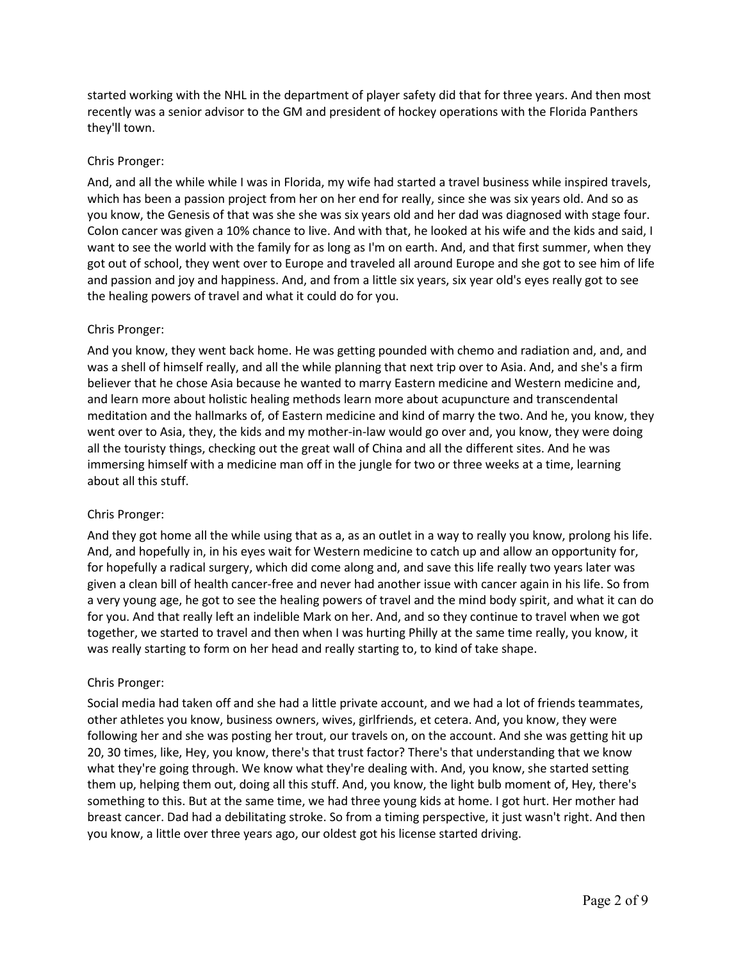started working with the NHL in the department of player safety did that for three years. And then most recently was a senior advisor to the GM and president of hockey operations with the Florida Panthers they'll town.

# Chris Pronger:

And, and all the while while I was in Florida, my wife had started a travel business while inspired travels, which has been a passion project from her on her end for really, since she was six years old. And so as you know, the Genesis of that was she she was six years old and her dad was diagnosed with stage four. Colon cancer was given a 10% chance to live. And with that, he looked at his wife and the kids and said, I want to see the world with the family for as long as I'm on earth. And, and that first summer, when they got out of school, they went over to Europe and traveled all around Europe and she got to see him of life and passion and joy and happiness. And, and from a little six years, six year old's eyes really got to see the healing powers of travel and what it could do for you.

# Chris Pronger:

And you know, they went back home. He was getting pounded with chemo and radiation and, and, and was a shell of himself really, and all the while planning that next trip over to Asia. And, and she's a firm believer that he chose Asia because he wanted to marry Eastern medicine and Western medicine and, and learn more about holistic healing methods learn more about acupuncture and transcendental meditation and the hallmarks of, of Eastern medicine and kind of marry the two. And he, you know, they went over to Asia, they, the kids and my mother-in-law would go over and, you know, they were doing all the touristy things, checking out the great wall of China and all the different sites. And he was immersing himself with a medicine man off in the jungle for two or three weeks at a time, learning about all this stuff.

## Chris Pronger:

And they got home all the while using that as a, as an outlet in a way to really you know, prolong his life. And, and hopefully in, in his eyes wait for Western medicine to catch up and allow an opportunity for, for hopefully a radical surgery, which did come along and, and save this life really two years later was given a clean bill of health cancer-free and never had another issue with cancer again in his life. So from a very young age, he got to see the healing powers of travel and the mind body spirit, and what it can do for you. And that really left an indelible Mark on her. And, and so they continue to travel when we got together, we started to travel and then when I was hurting Philly at the same time really, you know, it was really starting to form on her head and really starting to, to kind of take shape.

## Chris Pronger:

Social media had taken off and she had a little private account, and we had a lot of friends teammates, other athletes you know, business owners, wives, girlfriends, et cetera. And, you know, they were following her and she was posting her trout, our travels on, on the account. And she was getting hit up 20, 30 times, like, Hey, you know, there's that trust factor? There's that understanding that we know what they're going through. We know what they're dealing with. And, you know, she started setting them up, helping them out, doing all this stuff. And, you know, the light bulb moment of, Hey, there's something to this. But at the same time, we had three young kids at home. I got hurt. Her mother had breast cancer. Dad had a debilitating stroke. So from a timing perspective, it just wasn't right. And then you know, a little over three years ago, our oldest got his license started driving.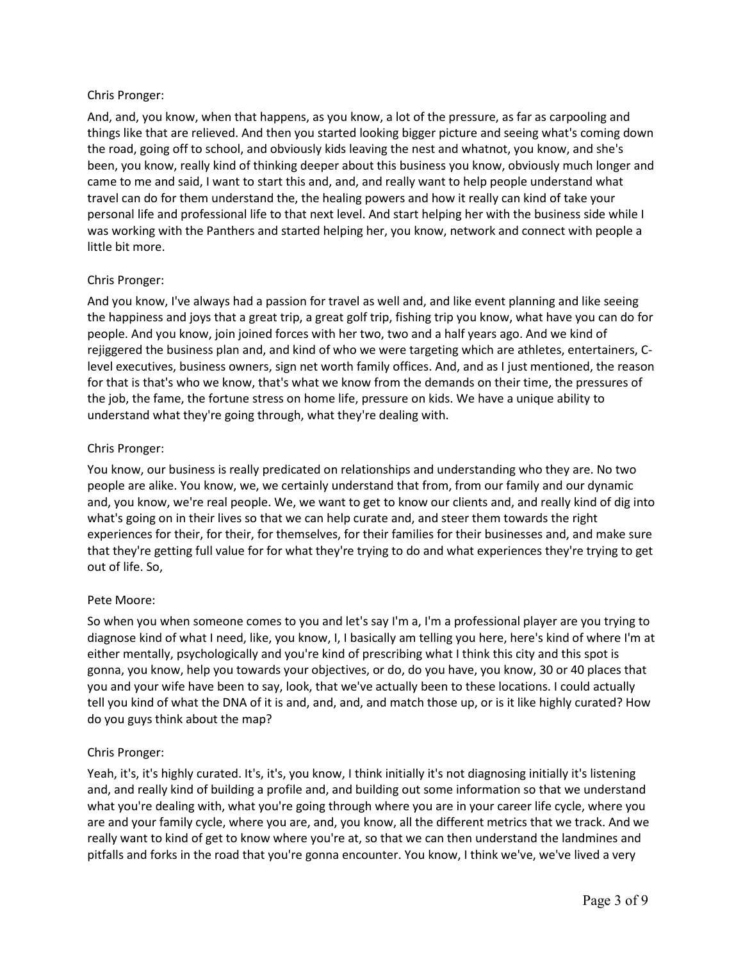## Chris Pronger:

And, and, you know, when that happens, as you know, a lot of the pressure, as far as carpooling and things like that are relieved. And then you started looking bigger picture and seeing what's coming down the road, going off to school, and obviously kids leaving the nest and whatnot, you know, and she's been, you know, really kind of thinking deeper about this business you know, obviously much longer and came to me and said, I want to start this and, and, and really want to help people understand what travel can do for them understand the, the healing powers and how it really can kind of take your personal life and professional life to that next level. And start helping her with the business side while I was working with the Panthers and started helping her, you know, network and connect with people a little bit more.

# Chris Pronger:

And you know, I've always had a passion for travel as well and, and like event planning and like seeing the happiness and joys that a great trip, a great golf trip, fishing trip you know, what have you can do for people. And you know, join joined forces with her two, two and a half years ago. And we kind of rejiggered the business plan and, and kind of who we were targeting which are athletes, entertainers, Clevel executives, business owners, sign net worth family offices. And, and as I just mentioned, the reason for that is that's who we know, that's what we know from the demands on their time, the pressures of the job, the fame, the fortune stress on home life, pressure on kids. We have a unique ability to understand what they're going through, what they're dealing with.

# Chris Pronger:

You know, our business is really predicated on relationships and understanding who they are. No two people are alike. You know, we, we certainly understand that from, from our family and our dynamic and, you know, we're real people. We, we want to get to know our clients and, and really kind of dig into what's going on in their lives so that we can help curate and, and steer them towards the right experiences for their, for their, for themselves, for their families for their businesses and, and make sure that they're getting full value for for what they're trying to do and what experiences they're trying to get out of life. So,

## Pete Moore:

So when you when someone comes to you and let's say I'm a, I'm a professional player are you trying to diagnose kind of what I need, like, you know, I, I basically am telling you here, here's kind of where I'm at either mentally, psychologically and you're kind of prescribing what I think this city and this spot is gonna, you know, help you towards your objectives, or do, do you have, you know, 30 or 40 places that you and your wife have been to say, look, that we've actually been to these locations. I could actually tell you kind of what the DNA of it is and, and, and, and match those up, or is it like highly curated? How do you guys think about the map?

# Chris Pronger:

Yeah, it's, it's highly curated. It's, it's, you know, I think initially it's not diagnosing initially it's listening and, and really kind of building a profile and, and building out some information so that we understand what you're dealing with, what you're going through where you are in your career life cycle, where you are and your family cycle, where you are, and, you know, all the different metrics that we track. And we really want to kind of get to know where you're at, so that we can then understand the landmines and pitfalls and forks in the road that you're gonna encounter. You know, I think we've, we've lived a very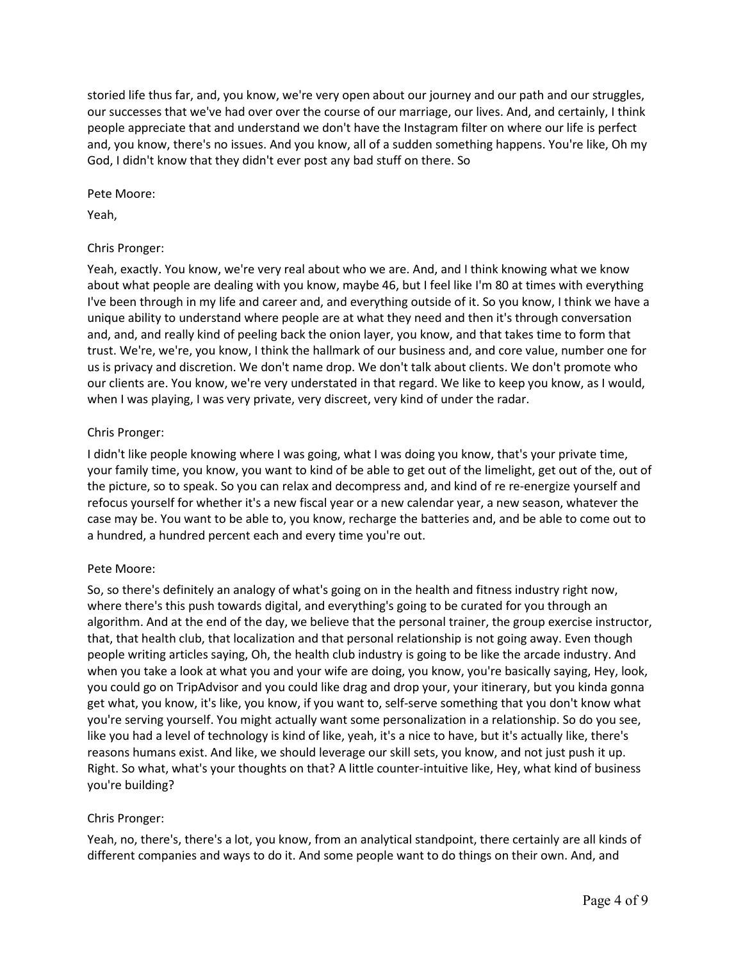storied life thus far, and, you know, we're very open about our journey and our path and our struggles, our successes that we've had over over the course of our marriage, our lives. And, and certainly, I think people appreciate that and understand we don't have the Instagram filter on where our life is perfect and, you know, there's no issues. And you know, all of a sudden something happens. You're like, Oh my God, I didn't know that they didn't ever post any bad stuff on there. So

Pete Moore:

Yeah,

## Chris Pronger:

Yeah, exactly. You know, we're very real about who we are. And, and I think knowing what we know about what people are dealing with you know, maybe 46, but I feel like I'm 80 at times with everything I've been through in my life and career and, and everything outside of it. So you know, I think we have a unique ability to understand where people are at what they need and then it's through conversation and, and, and really kind of peeling back the onion layer, you know, and that takes time to form that trust. We're, we're, you know, I think the hallmark of our business and, and core value, number one for us is privacy and discretion. We don't name drop. We don't talk about clients. We don't promote who our clients are. You know, we're very understated in that regard. We like to keep you know, as I would, when I was playing, I was very private, very discreet, very kind of under the radar.

# Chris Pronger:

I didn't like people knowing where I was going, what I was doing you know, that's your private time, your family time, you know, you want to kind of be able to get out of the limelight, get out of the, out of the picture, so to speak. So you can relax and decompress and, and kind of re re-energize yourself and refocus yourself for whether it's a new fiscal year or a new calendar year, a new season, whatever the case may be. You want to be able to, you know, recharge the batteries and, and be able to come out to a hundred, a hundred percent each and every time you're out.

## Pete Moore:

So, so there's definitely an analogy of what's going on in the health and fitness industry right now, where there's this push towards digital, and everything's going to be curated for you through an algorithm. And at the end of the day, we believe that the personal trainer, the group exercise instructor, that, that health club, that localization and that personal relationship is not going away. Even though people writing articles saying, Oh, the health club industry is going to be like the arcade industry. And when you take a look at what you and your wife are doing, you know, you're basically saying, Hey, look, you could go on TripAdvisor and you could like drag and drop your, your itinerary, but you kinda gonna get what, you know, it's like, you know, if you want to, self-serve something that you don't know what you're serving yourself. You might actually want some personalization in a relationship. So do you see, like you had a level of technology is kind of like, yeah, it's a nice to have, but it's actually like, there's reasons humans exist. And like, we should leverage our skill sets, you know, and not just push it up. Right. So what, what's your thoughts on that? A little counter-intuitive like, Hey, what kind of business you're building?

## Chris Pronger:

Yeah, no, there's, there's a lot, you know, from an analytical standpoint, there certainly are all kinds of different companies and ways to do it. And some people want to do things on their own. And, and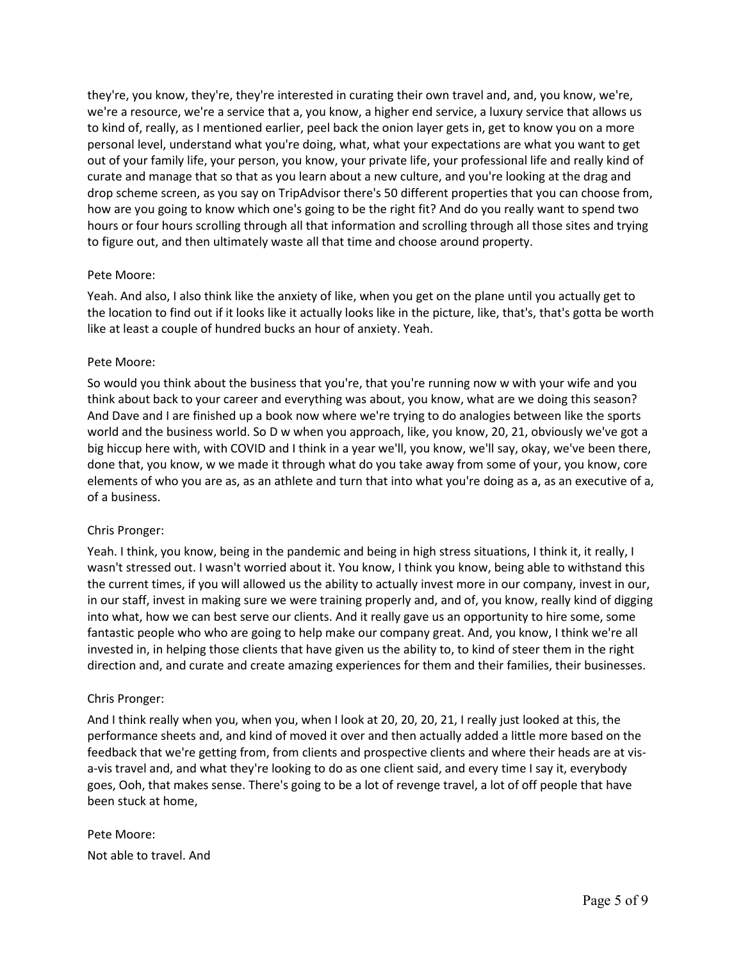they're, you know, they're, they're interested in curating their own travel and, and, you know, we're, we're a resource, we're a service that a, you know, a higher end service, a luxury service that allows us to kind of, really, as I mentioned earlier, peel back the onion layer gets in, get to know you on a more personal level, understand what you're doing, what, what your expectations are what you want to get out of your family life, your person, you know, your private life, your professional life and really kind of curate and manage that so that as you learn about a new culture, and you're looking at the drag and drop scheme screen, as you say on TripAdvisor there's 50 different properties that you can choose from, how are you going to know which one's going to be the right fit? And do you really want to spend two hours or four hours scrolling through all that information and scrolling through all those sites and trying to figure out, and then ultimately waste all that time and choose around property.

### Pete Moore:

Yeah. And also, I also think like the anxiety of like, when you get on the plane until you actually get to the location to find out if it looks like it actually looks like in the picture, like, that's, that's gotta be worth like at least a couple of hundred bucks an hour of anxiety. Yeah.

### Pete Moore:

So would you think about the business that you're, that you're running now w with your wife and you think about back to your career and everything was about, you know, what are we doing this season? And Dave and I are finished up a book now where we're trying to do analogies between like the sports world and the business world. So D w when you approach, like, you know, 20, 21, obviously we've got a big hiccup here with, with COVID and I think in a year we'll, you know, we'll say, okay, we've been there, done that, you know, w we made it through what do you take away from some of your, you know, core elements of who you are as, as an athlete and turn that into what you're doing as a, as an executive of a, of a business.

## Chris Pronger:

Yeah. I think, you know, being in the pandemic and being in high stress situations, I think it, it really, I wasn't stressed out. I wasn't worried about it. You know, I think you know, being able to withstand this the current times, if you will allowed us the ability to actually invest more in our company, invest in our, in our staff, invest in making sure we were training properly and, and of, you know, really kind of digging into what, how we can best serve our clients. And it really gave us an opportunity to hire some, some fantastic people who who are going to help make our company great. And, you know, I think we're all invested in, in helping those clients that have given us the ability to, to kind of steer them in the right direction and, and curate and create amazing experiences for them and their families, their businesses.

#### Chris Pronger:

And I think really when you, when you, when I look at 20, 20, 20, 21, I really just looked at this, the performance sheets and, and kind of moved it over and then actually added a little more based on the feedback that we're getting from, from clients and prospective clients and where their heads are at visa-vis travel and, and what they're looking to do as one client said, and every time I say it, everybody goes, Ooh, that makes sense. There's going to be a lot of revenge travel, a lot of off people that have been stuck at home,

Pete Moore: Not able to travel. And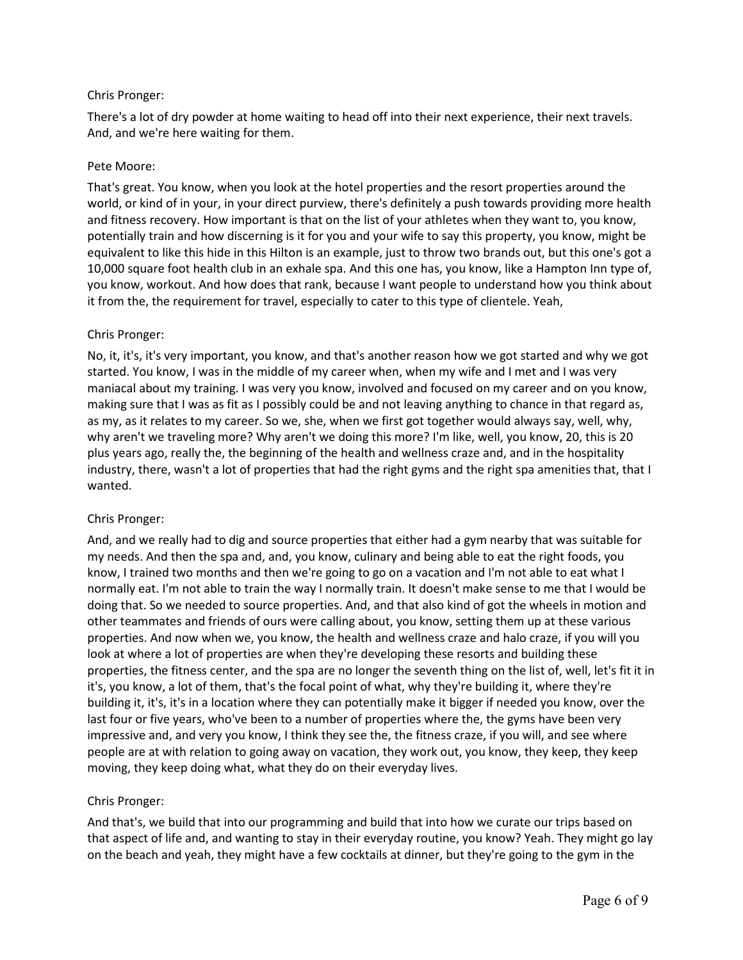## Chris Pronger:

There's a lot of dry powder at home waiting to head off into their next experience, their next travels. And, and we're here waiting for them.

## Pete Moore:

That's great. You know, when you look at the hotel properties and the resort properties around the world, or kind of in your, in your direct purview, there's definitely a push towards providing more health and fitness recovery. How important is that on the list of your athletes when they want to, you know, potentially train and how discerning is it for you and your wife to say this property, you know, might be equivalent to like this hide in this Hilton is an example, just to throw two brands out, but this one's got a 10,000 square foot health club in an exhale spa. And this one has, you know, like a Hampton Inn type of, you know, workout. And how does that rank, because I want people to understand how you think about it from the, the requirement for travel, especially to cater to this type of clientele. Yeah,

### Chris Pronger:

No, it, it's, it's very important, you know, and that's another reason how we got started and why we got started. You know, I was in the middle of my career when, when my wife and I met and I was very maniacal about my training. I was very you know, involved and focused on my career and on you know, making sure that I was as fit as I possibly could be and not leaving anything to chance in that regard as, as my, as it relates to my career. So we, she, when we first got together would always say, well, why, why aren't we traveling more? Why aren't we doing this more? I'm like, well, you know, 20, this is 20 plus years ago, really the, the beginning of the health and wellness craze and, and in the hospitality industry, there, wasn't a lot of properties that had the right gyms and the right spa amenities that, that I wanted.

## Chris Pronger:

And, and we really had to dig and source properties that either had a gym nearby that was suitable for my needs. And then the spa and, and, you know, culinary and being able to eat the right foods, you know, I trained two months and then we're going to go on a vacation and I'm not able to eat what I normally eat. I'm not able to train the way I normally train. It doesn't make sense to me that I would be doing that. So we needed to source properties. And, and that also kind of got the wheels in motion and other teammates and friends of ours were calling about, you know, setting them up at these various properties. And now when we, you know, the health and wellness craze and halo craze, if you will you look at where a lot of properties are when they're developing these resorts and building these properties, the fitness center, and the spa are no longer the seventh thing on the list of, well, let's fit it in it's, you know, a lot of them, that's the focal point of what, why they're building it, where they're building it, it's, it's in a location where they can potentially make it bigger if needed you know, over the last four or five years, who've been to a number of properties where the, the gyms have been very impressive and, and very you know, I think they see the, the fitness craze, if you will, and see where people are at with relation to going away on vacation, they work out, you know, they keep, they keep moving, they keep doing what, what they do on their everyday lives.

#### Chris Pronger:

And that's, we build that into our programming and build that into how we curate our trips based on that aspect of life and, and wanting to stay in their everyday routine, you know? Yeah. They might go lay on the beach and yeah, they might have a few cocktails at dinner, but they're going to the gym in the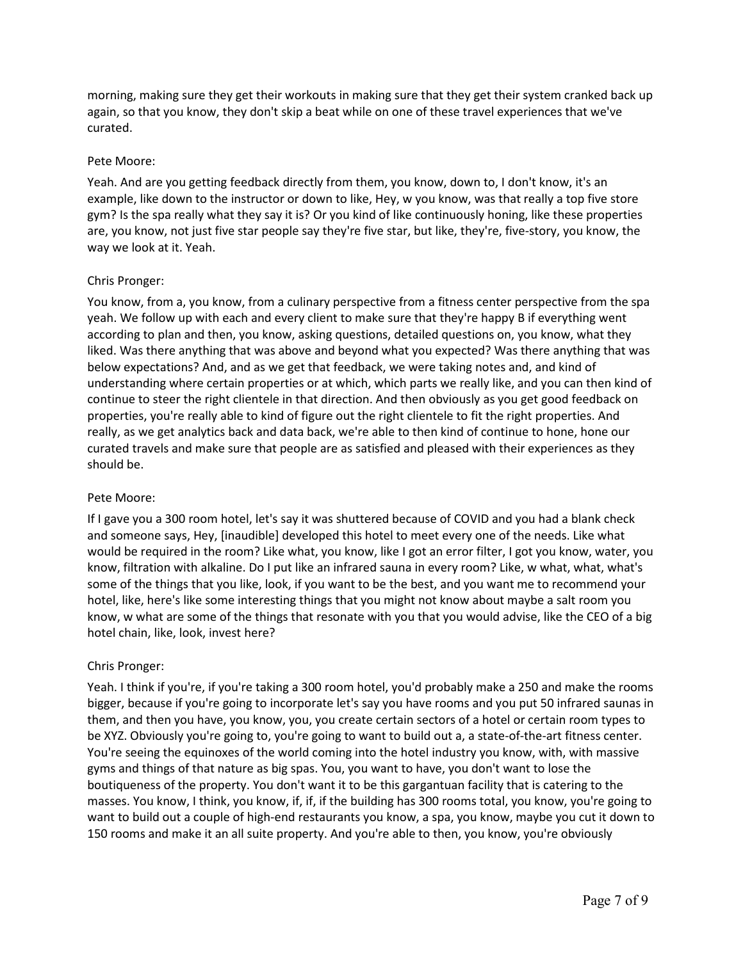morning, making sure they get their workouts in making sure that they get their system cranked back up again, so that you know, they don't skip a beat while on one of these travel experiences that we've curated.

## Pete Moore:

Yeah. And are you getting feedback directly from them, you know, down to, I don't know, it's an example, like down to the instructor or down to like, Hey, w you know, was that really a top five store gym? Is the spa really what they say it is? Or you kind of like continuously honing, like these properties are, you know, not just five star people say they're five star, but like, they're, five-story, you know, the way we look at it. Yeah.

### Chris Pronger:

You know, from a, you know, from a culinary perspective from a fitness center perspective from the spa yeah. We follow up with each and every client to make sure that they're happy B if everything went according to plan and then, you know, asking questions, detailed questions on, you know, what they liked. Was there anything that was above and beyond what you expected? Was there anything that was below expectations? And, and as we get that feedback, we were taking notes and, and kind of understanding where certain properties or at which, which parts we really like, and you can then kind of continue to steer the right clientele in that direction. And then obviously as you get good feedback on properties, you're really able to kind of figure out the right clientele to fit the right properties. And really, as we get analytics back and data back, we're able to then kind of continue to hone, hone our curated travels and make sure that people are as satisfied and pleased with their experiences as they should be.

#### Pete Moore:

If I gave you a 300 room hotel, let's say it was shuttered because of COVID and you had a blank check and someone says, Hey, [inaudible] developed this hotel to meet every one of the needs. Like what would be required in the room? Like what, you know, like I got an error filter, I got you know, water, you know, filtration with alkaline. Do I put like an infrared sauna in every room? Like, w what, what, what's some of the things that you like, look, if you want to be the best, and you want me to recommend your hotel, like, here's like some interesting things that you might not know about maybe a salt room you know, w what are some of the things that resonate with you that you would advise, like the CEO of a big hotel chain, like, look, invest here?

## Chris Pronger:

Yeah. I think if you're, if you're taking a 300 room hotel, you'd probably make a 250 and make the rooms bigger, because if you're going to incorporate let's say you have rooms and you put 50 infrared saunas in them, and then you have, you know, you, you create certain sectors of a hotel or certain room types to be XYZ. Obviously you're going to, you're going to want to build out a, a state-of-the-art fitness center. You're seeing the equinoxes of the world coming into the hotel industry you know, with, with massive gyms and things of that nature as big spas. You, you want to have, you don't want to lose the boutiqueness of the property. You don't want it to be this gargantuan facility that is catering to the masses. You know, I think, you know, if, if, if the building has 300 rooms total, you know, you're going to want to build out a couple of high-end restaurants you know, a spa, you know, maybe you cut it down to 150 rooms and make it an all suite property. And you're able to then, you know, you're obviously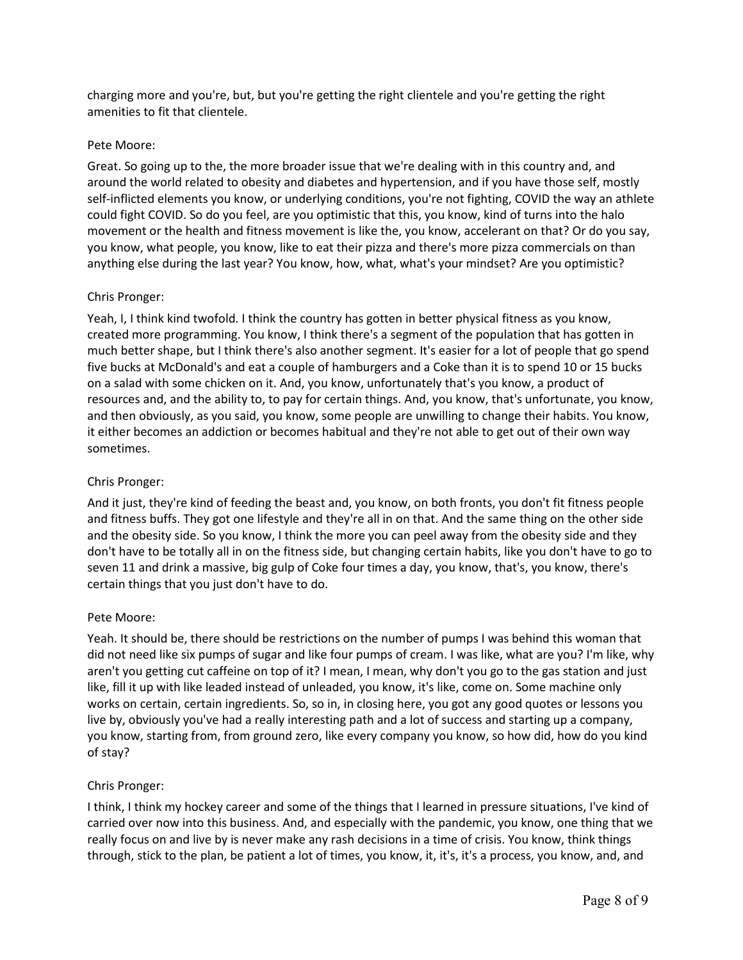charging more and you're, but, but you're getting the right clientele and you're getting the right amenities to fit that clientele.

### Pete Moore:

Great. So going up to the, the more broader issue that we're dealing with in this country and, and around the world related to obesity and diabetes and hypertension, and if you have those self, mostly self-inflicted elements you know, or underlying conditions, you're not fighting, COVID the way an athlete could fight COVID. So do you feel, are you optimistic that this, you know, kind of turns into the halo movement or the health and fitness movement is like the, you know, accelerant on that? Or do you say, you know, what people, you know, like to eat their pizza and there's more pizza commercials on than anything else during the last year? You know, how, what, what's your mindset? Are you optimistic?

### Chris Pronger:

Yeah, I, I think kind twofold. I think the country has gotten in better physical fitness as you know, created more programming. You know, I think there's a segment of the population that has gotten in much better shape, but I think there's also another segment. It's easier for a lot of people that go spend five bucks at McDonald's and eat a couple of hamburgers and a Coke than it is to spend 10 or 15 bucks on a salad with some chicken on it. And, you know, unfortunately that's you know, a product of resources and, and the ability to, to pay for certain things. And, you know, that's unfortunate, you know, and then obviously, as you said, you know, some people are unwilling to change their habits. You know, it either becomes an addiction or becomes habitual and they're not able to get out of their own way sometimes.

## Chris Pronger:

And it just, they're kind of feeding the beast and, you know, on both fronts, you don't fit fitness people and fitness buffs. They got one lifestyle and they're all in on that. And the same thing on the other side and the obesity side. So you know, I think the more you can peel away from the obesity side and they don't have to be totally all in on the fitness side, but changing certain habits, like you don't have to go to seven 11 and drink a massive, big gulp of Coke four times a day, you know, that's, you know, there's certain things that you just don't have to do.

#### Pete Moore:

Yeah. It should be, there should be restrictions on the number of pumps I was behind this woman that did not need like six pumps of sugar and like four pumps of cream. I was like, what are you? I'm like, why aren't you getting cut caffeine on top of it? I mean, I mean, why don't you go to the gas station and just like, fill it up with like leaded instead of unleaded, you know, it's like, come on. Some machine only works on certain, certain ingredients. So, so in, in closing here, you got any good quotes or lessons you live by, obviously you've had a really interesting path and a lot of success and starting up a company, you know, starting from, from ground zero, like every company you know, so how did, how do you kind of stay?

## Chris Pronger:

I think, I think my hockey career and some of the things that I learned in pressure situations, I've kind of carried over now into this business. And, and especially with the pandemic, you know, one thing that we really focus on and live by is never make any rash decisions in a time of crisis. You know, think things through, stick to the plan, be patient a lot of times, you know, it, it's, it's a process, you know, and, and